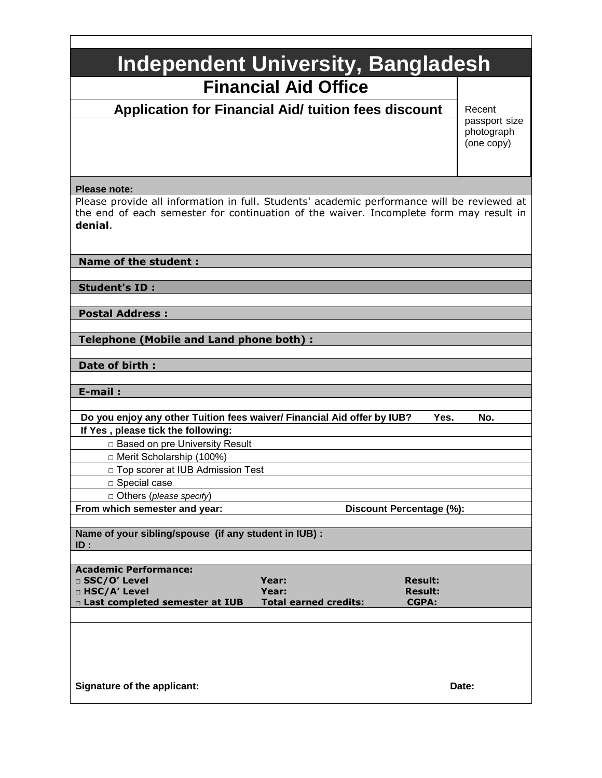| <b>Independent University, Bangladesh</b> |  |
|-------------------------------------------|--|
| <b>Financial Aid Office</b>               |  |

 **Application for Financial Aid/ tuition fees discount**

Recent passport size photograph (one copy)

### **Please note:**

Please provide all information in full. Students' academic performance will be reviewed at the end of each semester for continuation of the waiver. Incomplete form may result in **denial**.

### **Name of the student :**

**Student's ID :** 

**Postal Address :**

**Telephone (Mobile and Land phone both) :** 

**Date of birth :**

**E-mail :**

 **Do you enjoy any other Tuition fees waiver/ Financial Aid offer by IUB? Yes. No. If Yes , please tick the following:** 

□ Based on pre University Result

□ Merit Scholarship (100%)

□ Top scorer at IUB Admission Test

□ Special case

□ Others (*please specify*)

**From which semester and year: Discount Percentage (%): Discount Percentage (%):** 

**Name of your sibling/spouse (if any student in IUB) : ID :**

| Academic Performance:                 |                              |                |
|---------------------------------------|------------------------------|----------------|
| $\Box$ SSC/O' Level                   | Year:                        | <b>Result:</b> |
| $\Box$ HSC/A' Level                   | Year:                        | <b>Result:</b> |
| $\Box$ Last completed semester at IUB | <b>Total earned credits:</b> | <b>CGPA:</b>   |
|                                       |                              |                |

**Signature of the applicant:** Date: Date: Date: